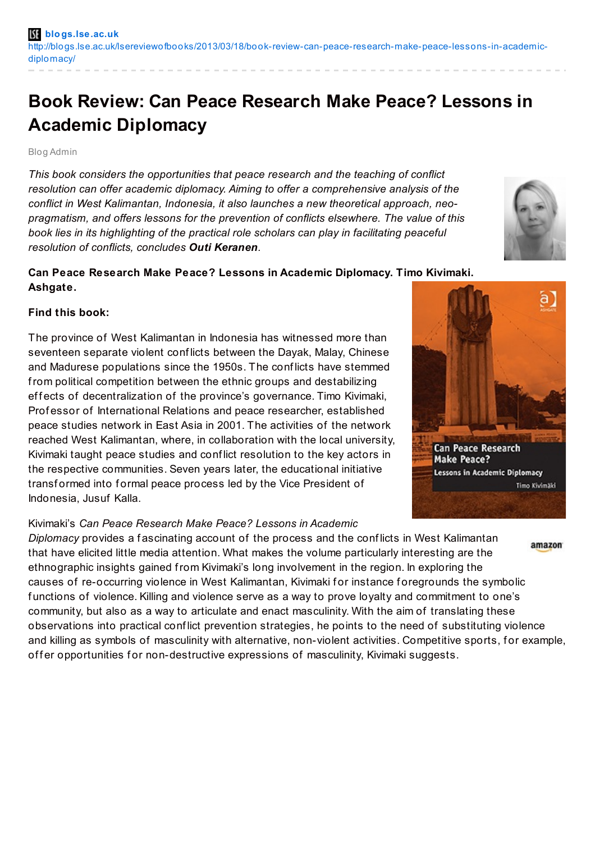# **Book Review: Can Peace Research Make Peace? Lessons in Academic Diplomacy**

#### Blog Admin

*This book considers the opportunities that peace research and the teaching of conflict resolution can offer academic diplomacy. Aiming to offer a comprehensive analysis of the conflict in West Kalimantan, Indonesia, it also launches a new theoretical approach, neopragmatism, and offers lessons for the prevention of conflicts elsewhere. The value of this book lies in its highlighting of the practical role scholars can play in facilitating peaceful resolution of conflicts, concludes Outi Keranen.*

## **Can Peace Research Make Peace? Lessons in Academic Diplomacy. Timo Kivimaki. Ashgate.**

### **Find this book:**

The province of West Kalimantan in Indonesia has witnessed more than seventeen separate violent conf licts between the Dayak, Malay, Chinese and Madurese populations since the 1950s. The conf licts have stemmed from political competition between the ethnic groups and destabilizing effects of decentralization of the province's governance. Timo Kivimaki, Prof essor of International Relations and peace researcher, established peace studies network in East Asia in 2001. The activities of the network reached West Kalimantan, where, in collaboration with the local university, Kivimaki taught peace studies and conf lict resolution to the key actors in the respective communities. Seven years later, the educational initiative transformed into formal peace process led by the Vice President of Indonesia, Jusuf Kalla.

#### Kivimaki's *Can Peace Research Make Peace? Lessons in Academic*

*Diplomacy* provides a f ascinating account of the process and the conf licts in West Kalimantan amazon that have elicited little media attention. What makes the volume particularly interesting are the ethnographic insights gained from Kivimaki's long involvement in the region. In exploring the causes of re-occurring violence in West Kalimantan, Kivimaki for instance foregrounds the symbolic f unctions of violence. Killing and violence serve as a way to prove loyalty and commitment to one's community, but also as a way to articulate and enact masculinity. With the aim of translating these observations into practical conf lict prevention strategies, he points to the need of substituting violence and killing as symbols of masculinity with alternative, non-violent activities. Competitive sports, for example, offer opportunities for non-destructive expressions of masculinity, Kivimaki suggests.



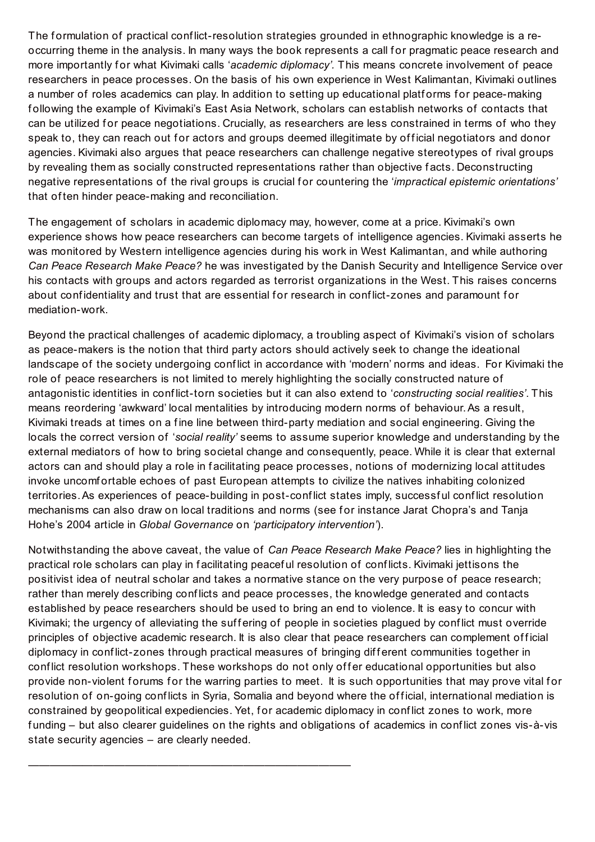The formulation of practical conflict-resolution strategies grounded in ethnographic knowledge is a reoccurring theme in the analysis. In many ways the book represents a call for pragmatic peace research and more importantly for what Kivimaki calls 'academic diplomacy'. This means concrete involvement of peace researchers in peace processes. On the basis of his own experience in West Kalimantan, Kivimaki outlines a number of roles academics can play. In addition to setting up educational platforms for peace-making f ollowing the example of Kivimaki's East Asia Network, scholars can establish networks of contacts that can be utilized for peace negotiations. Crucially, as researchers are less constrained in terms of who they speak to, they can reach out for actors and groups deemed illegitimate by official negotiators and donor agencies. Kivimaki also argues that peace researchers can challenge negative stereotypes of rival groups by revealing them as socially constructed representations rather than objective f acts. Deconstructing negative representations of the rival groups is crucial f or countering the '*impractical epistemic orientations'* that of ten hinder peace-making and reconciliation.

The engagement of scholars in academic diplomacy may, however, come at a price. Kivimaki's own experience shows how peace researchers can become targets of intelligence agencies. Kivimaki asserts he was monitored by Western intelligence agencies during his work in West Kalimantan, and while authoring *Can Peace Research Make Peace?* he was investigated by the Danish Security and Intelligence Service over his contacts with groups and actors regarded as terrorist organizations in the West. This raises concerns about confidentiality and trust that are essential for research in conflict-zones and paramount for mediation-work.

Beyond the practical challenges of academic diplomacy, a troubling aspect of Kivimaki's vision of scholars as peace-makers is the notion that third party actors should actively seek to change the ideational landscape of the society undergoing conf lict in accordance with 'modern' norms and ideas. For Kivimaki the role of peace researchers is not limited to merely highlighting the socially constructed nature of antagonistic identities in conf lict-torn societies but it can also extend to '*constructing social realities'*. This means reordering 'awkward' local mentalities by introducing modern norms of behaviour.As a result, Kivimaki treads at times on a fine line between third-party mediation and social engineering. Giving the locals the correct version of '*social reality'* seems to assume superior knowledge and understanding by the external mediators of how to bring societal change and consequently, peace. While it is clear that external actors can and should play a role in facilitating peace processes, notions of modernizing local attitudes invoke uncomf ortable echoes of past European attempts to civilize the natives inhabiting colonized territories.As experiences of peace-building in post-conf lict states imply, successf ul conf lict resolution mechanisms can also draw on local traditions and norms (see for instance Jarat Chopra's and Tanja Hohe's 2004 article in *Global Governance* on *'participatory intervention'*).

Notwithstanding the above caveat, the value of *Can Peace Research Make Peace?* lies in highlighting the practical role scholars can play in f acilitating peacef ul resolution of conf licts. Kivimaki jettisons the positivist idea of neutral scholar and takes a normative stance on the very purpose of peace research; rather than merely describing conf licts and peace processes, the knowledge generated and contacts established by peace researchers should be used to bring an end to violence. It is easy to concur with Kivimaki; the urgency of alleviating the suffering of people in societies plagued by conflict must override principles of objective academic research. It is also clear that peace researchers can complement official diplomacy in conflict-zones through practical measures of bringing different communities together in conflict resolution workshops. These workshops do not only offer educational opportunities but also provide non-violent forums for the warring parties to meet. It is such opportunities that may prove vital for resolution of on-going conflicts in Syria, Somalia and beyond where the official, international mediation is constrained by geopolitical expediencies. Yet, for academic diplomacy in conflict zones to work, more f unding – but also clearer guidelines on the rights and obligations of academics in conf lict zones vis-à-vis state security agencies – are clearly needed.

——————————————————————————————